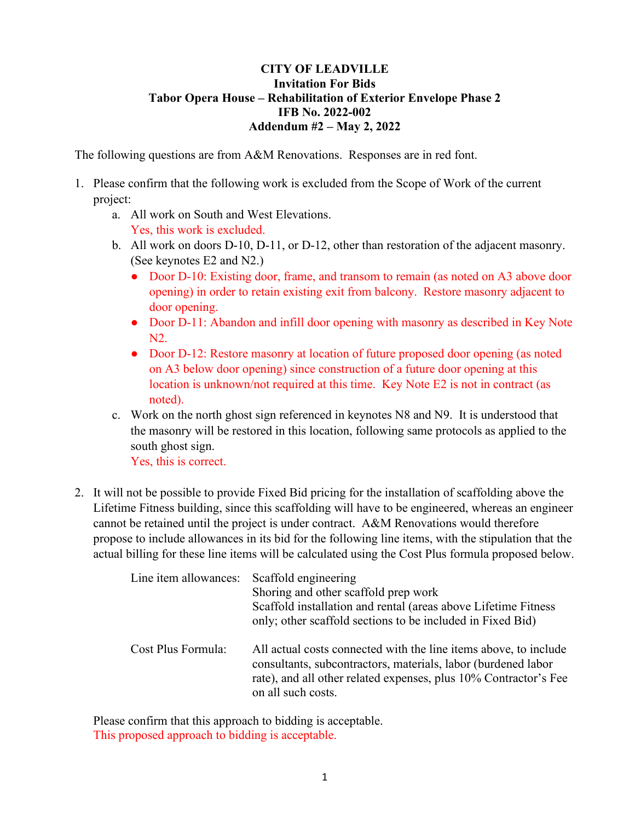## **CITY OF LEADVILLE Invitation For Bids Tabor Opera House – Rehabilitation of Exterior Envelope Phase 2 IFB No. 2022-002 Addendum #2 – May 2, 2022**

The following questions are from A&M Renovations. Responses are in red font.

- 1. Please confirm that the following work is excluded from the Scope of Work of the current project:
	- a. All work on South and West Elevations. Yes, this work is excluded.
	- b. All work on doors D-10, D-11, or D-12, other than restoration of the adjacent masonry. (See keynotes E2 and N2.)
		- Door D-10: Existing door, frame, and transom to remain (as noted on A3 above door opening) in order to retain existing exit from balcony. Restore masonry adjacent to door opening.
		- Door D-11: Abandon and infill door opening with masonry as described in Key Note N2.
		- Door D-12: Restore masonry at location of future proposed door opening (as noted on A3 below door opening) since construction of a future door opening at this location is unknown/not required at this time. Key Note E2 is not in contract (as noted).
	- c. Work on the north ghost sign referenced in keynotes N8 and N9. It is understood that the masonry will be restored in this location, following same protocols as applied to the south ghost sign.

Yes, this is correct.

2. It will not be possible to provide Fixed Bid pricing for the installation of scaffolding above the Lifetime Fitness building, since this scaffolding will have to be engineered, whereas an engineer cannot be retained until the project is under contract. A&M Renovations would therefore propose to include allowances in its bid for the following line items, with the stipulation that the actual billing for these line items will be calculated using the Cost Plus formula proposed below.

| Line item allowances: | Scaffold engineering<br>Shoring and other scaffold prep work<br>Scaffold installation and rental (areas above Lifetime Fitness<br>only; other scaffold sections to be included in Fixed Bid)                                |
|-----------------------|-----------------------------------------------------------------------------------------------------------------------------------------------------------------------------------------------------------------------------|
| Cost Plus Formula:    | All actual costs connected with the line items above, to include<br>consultants, subcontractors, materials, labor (burdened labor<br>rate), and all other related expenses, plus 10% Contractor's Fee<br>on all such costs. |

Please confirm that this approach to bidding is acceptable. This proposed approach to bidding is acceptable.